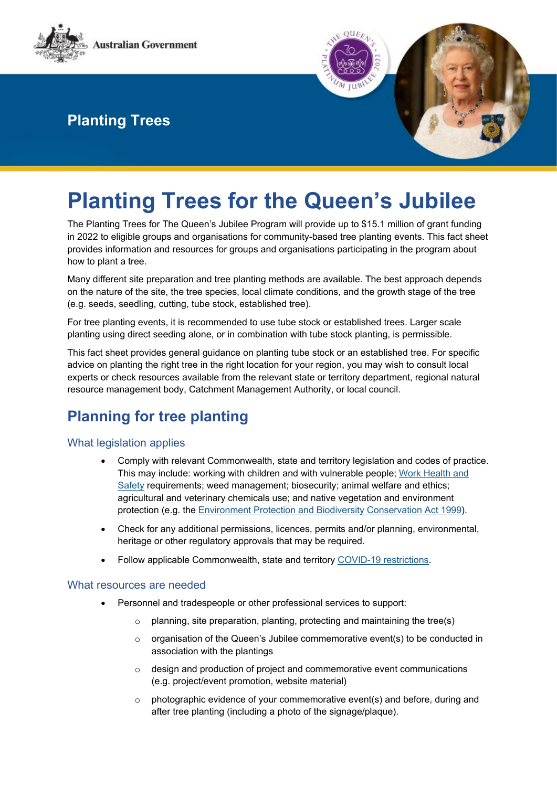



# **Planting Trees for the Queen's Jubilee**

The Planting Trees for The Queen's Jubilee Program will provide up to \$15.1 million of grant funding in 2022 to eligible groups and organisations for community-based tree planting events. This fact sheet provides information and resources for groups and organisations participating in the program about how to plant a tree.

Many different site preparation and tree planting methods are available. The best approach depends on the nature of the site, the tree species, local climate conditions, and the growth stage of the tree (e.g. seeds, seedling, cutting, tube stock, established tree).

For tree planting events, it is recommended to use tube stock or established trees. Larger scale planting using direct seeding alone, or in combination with tube stock planting, is permissible.

This fact sheet provides general guidance on planting tube stock or an established tree. For specific advice on planting the right tree in the right location for your region, you may wish to consult local experts or check resources available from the relevant state or territory department, regional natural resource management body, Catchment Management Authority, or local council.

## **Planning for tree planting**

### What legislation applies

- Comply with relevant Commonwealth, state and territory legislation and codes of practice. This may include: working with children and with vulnerable people; [Work Health and](https://www.legislation.gov.au/Details/F2011L02664)  [Safety](https://www.legislation.gov.au/Details/F2011L02664) requirements; weed management; biosecurity; animal welfare and ethics; agricultural and veterinary chemicals use; and native vegetation and environment protection (e.g. the [Environment Protection and Biodiversity Conservation Act 1999\)](https://www.legislation.gov.au/Details/C2021C00182).
- Check for any additional permissions, licences, permits and/or planning, environmental, heritage or other regulatory approvals that may be required.
- Follow applicable Commonwealth, state and territory [COVID-19 restrictions.](https://www.meetingsevents.com.au/covid19-information-and-resources)

### What resources are needed

- Personnel and tradespeople or other professional services to support:
	- o planning, site preparation, planting, protecting and maintaining the tree(s)
	- o organisation of the Queen's Jubilee commemorative event(s) to be conducted in association with the plantings
	- o design and production of project and commemorative event communications (e.g. project/event promotion, website material)
	- o photographic evidence of your commemorative event(s) and before, during and after tree planting (including a photo of the signage/plaque).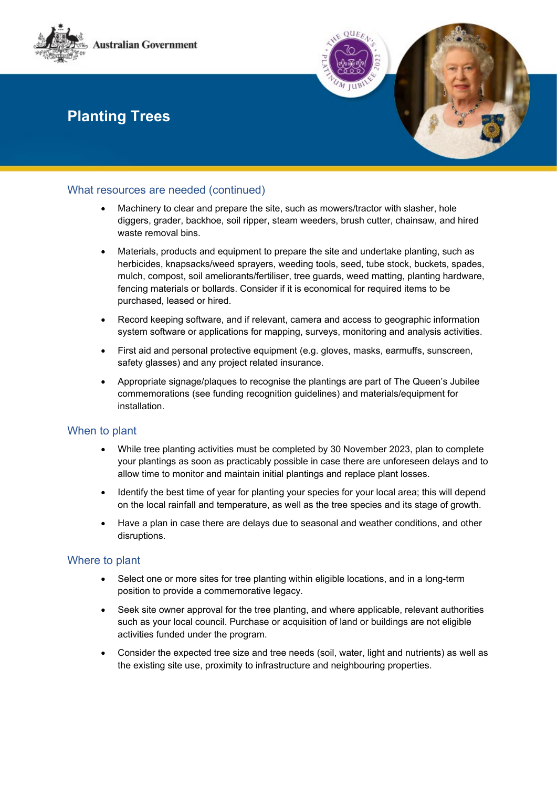

### What resources are needed (continued)

- Machinery to clear and prepare the site, such as mowers/tractor with slasher, hole diggers, grader, backhoe, soil ripper, steam weeders, brush cutter, chainsaw, and hired waste removal bins.
- Materials, products and equipment to prepare the site and undertake planting, such as herbicides, knapsacks/weed sprayers, weeding tools, seed, tube stock, buckets, spades, mulch, compost, soil ameliorants/fertiliser, tree guards, weed matting, planting hardware, fencing materials or bollards. Consider if it is economical for required items to be purchased, leased or hired.
- Record keeping software, and if relevant, camera and access to geographic information system software or applications for mapping, surveys, monitoring and analysis activities.
- First aid and personal protective equipment (e.g. gloves, masks, earmuffs, sunscreen, safety glasses) and any project related insurance.
- Appropriate signage/plaques to recognise the plantings are part of The Queen's Jubilee commemorations (see funding recognition guidelines) and materials/equipment for installation.

#### When to plant

- While tree planting activities must be completed by 30 November 2023, plan to complete your plantings as soon as practicably possible in case there are unforeseen delays and to allow time to monitor and maintain initial plantings and replace plant losses.
- Identify the best time of year for planting your species for your local area; this will depend on the local rainfall and temperature, as well as the tree species and its stage of growth.
- Have a plan in case there are delays due to seasonal and weather conditions, and other disruptions.

### Where to plant

- Select one or more sites for tree planting within eligible locations, and in a long-term position to provide a commemorative legacy.
- Seek site owner approval for the tree planting, and where applicable, relevant authorities such as your local council. Purchase or acquisition of land or buildings are not eligible activities funded under the program.
- Consider the expected tree size and tree needs (soil, water, light and nutrients) as well as the existing site use, proximity to infrastructure and neighbouring properties.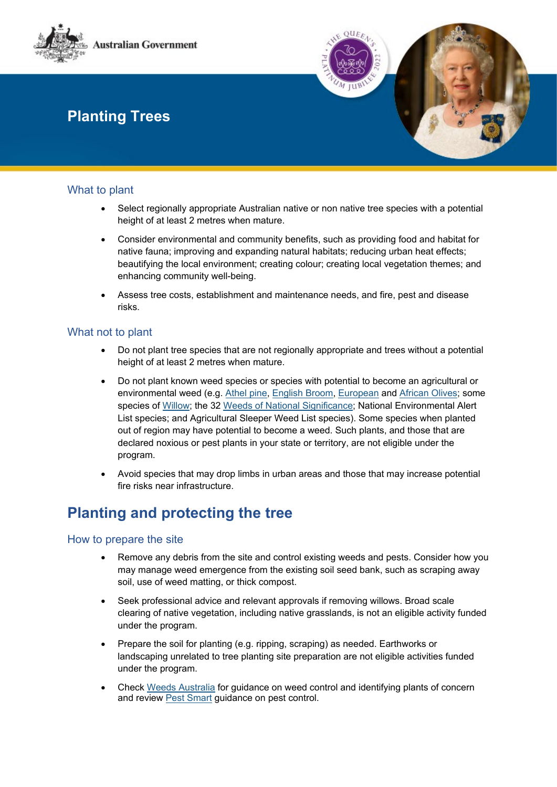

### What to plant

- Select regionally appropriate Australian native or non native tree species with a potential height of at least 2 metres when mature.
- Consider environmental and community benefits, such as providing food and habitat for native fauna; improving and expanding natural habitats; reducing urban heat effects; beautifying the local environment; creating colour; creating local vegetation themes; and enhancing community well-being.
- Assess tree costs, establishment and maintenance needs, and fire, pest and disease risks.

### What not to plant

- Do not plant tree species that are not regionally appropriate and trees without a potential height of at least 2 metres when mature.
- Do not plant known weed species or species with potential to become an agricultural or environmental weed (e.g. [Athel pine,](https://profiles.ala.org.au/opus/weeds-australia/profile/Tamarix%20aphylla) [English Broom,](https://profiles.ala.org.au/opus/weeds-australia/profile/Cytisus%20scoparius) [European](https://profiles.ala.org.au/opus/weeds-australia/profile/Olea%20europaea%20subsp.%20europaea) and African Olives; some species of Willow; the 32 [Weeds of National Significance;](https://weeds.org.au/) National Environmental Alert List species; and Agricultural Sleeper Weed List species). Some species when planted out of region may have potential to become a weed. Such plants, and those that are declared noxious or pest plants in your state or territory, are not eligible under the program.
- Avoid species that may drop limbs in urban areas and those that may increase potential fire risks near infrastructure.

### **Planting and protecting the tree**

#### How to prepare the site

- Remove any debris from the site and control existing weeds and pests. Consider how you may manage weed emergence from the existing soil seed bank, such as scraping away soil, use of weed matting, or thick compost.
- Seek professional advice and relevant approvals if removing willows. Broad scale clearing of native vegetation, including native grasslands, is not an eligible activity funded under the program.
- Prepare the soil for planting (e.g. ripping, scraping) as needed. Earthworks or landscaping unrelated to tree planting site preparation are not eligible activities funded under the program.
- Check [Weeds Australia](https://weeds.org.au/overview/lists-strategies/) for guidance on weed control and identifying plants of concern and review [Pest Smart](https://pestsmart.org.au/resource-category/guidelines/) guidance on pest control.